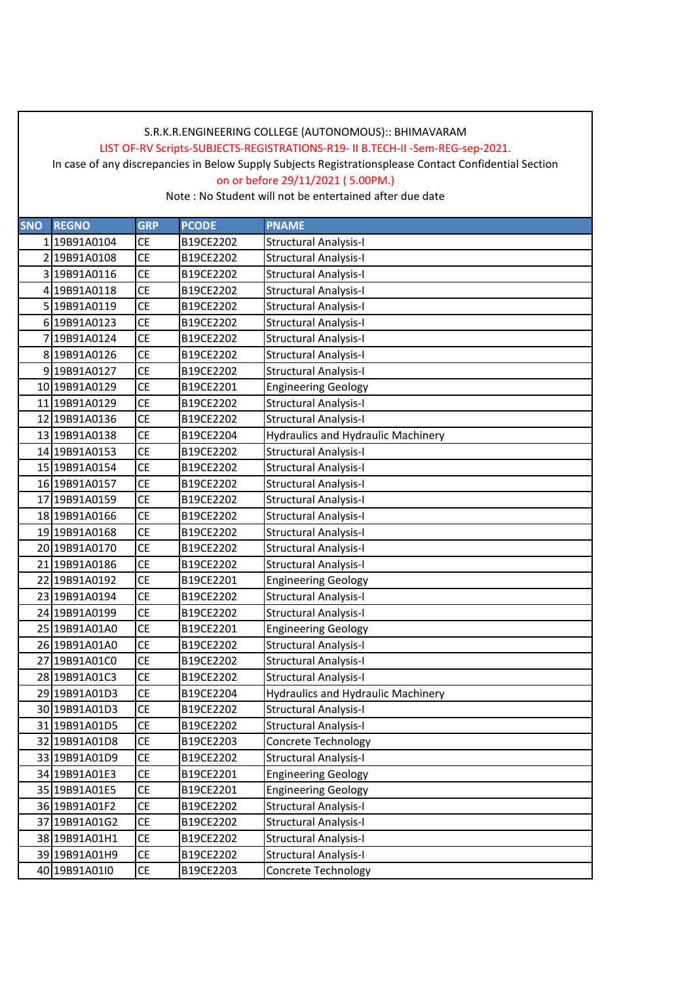LIST OF-RV Scripts-SUBJECTS-REGISTRATIONS-R19- II B.TECH-II -Sem-REG-sep-2021.

In case of any discrepancies in Below Supply Subjects Registrationsplease Contact Confidential Section

on or before 29/11/2021 ( 5.00PM.)

| <b>SNO</b> | <b>REGNO</b>  | <b>GRP</b>      | <b>PCODE</b> | <b>PNAME</b>                              |
|------------|---------------|-----------------|--------------|-------------------------------------------|
|            | 1 19B91A0104  | <b>CE</b>       | B19CE2202    | <b>Structural Analysis-I</b>              |
|            | 2 19B91A0108  | <b>CE</b>       | B19CE2202    | <b>Structural Analysis-I</b>              |
|            | 3 19B91A0116  | <b>CE</b>       | B19CE2202    | <b>Structural Analysis-I</b>              |
|            | 4 19B91A0118  | <b>CE</b>       | B19CE2202    | <b>Structural Analysis-I</b>              |
|            | 5 19B91A0119  | <b>CE</b>       | B19CE2202    | <b>Structural Analysis-I</b>              |
|            | 6 19B91A0123  | <b>CE</b>       | B19CE2202    | <b>Structural Analysis-I</b>              |
|            | 7 19B91A0124  | <b>CE</b>       | B19CE2202    | <b>Structural Analysis-I</b>              |
|            | 8 19B91A0126  | <b>CE</b>       | B19CE2202    | <b>Structural Analysis-I</b>              |
|            | 9 19B91A0127  | <b>CE</b>       | B19CE2202    | <b>Structural Analysis-I</b>              |
|            | 10 19B91A0129 | <b>CE</b>       | B19CE2201    | <b>Engineering Geology</b>                |
|            | 11 19B91A0129 | <b>CE</b>       | B19CE2202    | <b>Structural Analysis-I</b>              |
|            | 12 19B91A0136 | <b>CE</b>       | B19CE2202    | <b>Structural Analysis-I</b>              |
|            | 13 19B91A0138 | <b>CE</b>       | B19CE2204    | <b>Hydraulics and Hydraulic Machinery</b> |
|            | 14 19B91A0153 | <b>CE</b>       | B19CE2202    | <b>Structural Analysis-I</b>              |
|            | 15 19B91A0154 | <b>CE</b>       | B19CE2202    | <b>Structural Analysis-I</b>              |
|            | 16 19B91A0157 | <b>CE</b>       | B19CE2202    | <b>Structural Analysis-I</b>              |
|            | 17 19B91A0159 | <b>CE</b>       | B19CE2202    | <b>Structural Analysis-I</b>              |
|            | 18 19B91A0166 | <b>CE</b>       | B19CE2202    | <b>Structural Analysis-I</b>              |
|            | 19 19B91A0168 | <b>CE</b>       | B19CE2202    | <b>Structural Analysis-I</b>              |
|            | 20 19B91A0170 | <b>CE</b>       | B19CE2202    | <b>Structural Analysis-I</b>              |
|            | 21 19B91A0186 | <b>CE</b>       | B19CE2202    | <b>Structural Analysis-I</b>              |
|            | 22 19B91A0192 | <b>CE</b>       | B19CE2201    | <b>Engineering Geology</b>                |
|            | 23 19B91A0194 | <b>CE</b>       | B19CE2202    | <b>Structural Analysis-I</b>              |
|            | 24 19B91A0199 | <b>CE</b>       | B19CE2202    | <b>Structural Analysis-I</b>              |
|            | 25 19B91A01A0 | <b>CE</b>       | B19CE2201    | <b>Engineering Geology</b>                |
|            | 26 19B91A01A0 | <b>CE</b>       | B19CE2202    | <b>Structural Analysis-I</b>              |
|            | 27 19B91A01C0 | <b>CE</b>       | B19CE2202    | <b>Structural Analysis-I</b>              |
|            | 28 19B91A01C3 | <b>CE</b>       | B19CE2202    | <b>Structural Analysis-I</b>              |
|            | 29 19B91A01D3 | <b>CE</b>       | B19CE2204    | <b>Hydraulics and Hydraulic Machinery</b> |
|            | 30 19B91A01D3 | <b>CE</b>       | B19CE2202    | <b>Structural Analysis-I</b>              |
|            | 31 19B91A01D5 | <b>CE</b>       | B19CE2202    | <b>Structural Analysis-I</b>              |
|            | 32 19B91A01D8 | <b>CE</b>       | B19CE2203    | Concrete Technology                       |
|            | 33 19B91A01D9 | CE              | B19CE2202    | Structural Analysis-I                     |
|            | 34 19B91A01E3 | CE              | B19CE2201    | <b>Engineering Geology</b>                |
|            | 35 19B91A01E5 | $\mathsf{CE}\,$ | B19CE2201    | <b>Engineering Geology</b>                |
|            | 36 19B91A01F2 | <b>CE</b>       | B19CE2202    | <b>Structural Analysis-I</b>              |
|            | 37 19B91A01G2 | CE              | B19CE2202    | <b>Structural Analysis-I</b>              |
|            | 38 19B91A01H1 | $\mathsf{CE}\,$ | B19CE2202    | <b>Structural Analysis-I</b>              |
|            | 39 19B91A01H9 | <b>CE</b>       | B19CE2202    | Structural Analysis-I                     |
|            | 40 19B91A01I0 | CE              | B19CE2203    | Concrete Technology                       |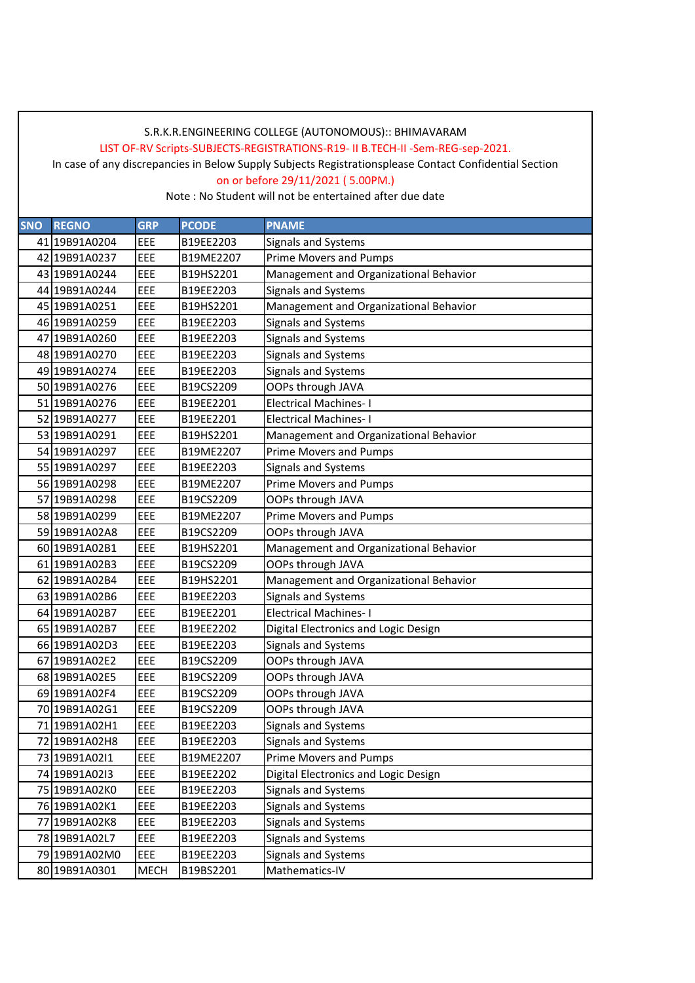LIST OF-RV Scripts-SUBJECTS-REGISTRATIONS-R19- II B.TECH-II -Sem-REG-sep-2021.

In case of any discrepancies in Below Supply Subjects Registrationsplease Contact Confidential Section

on or before 29/11/2021 ( 5.00PM.)

| <b>SNO</b> | <b>REGNO</b>  | <b>GRP</b>  | <b>PCODE</b> | <b>PNAME</b>                           |
|------------|---------------|-------------|--------------|----------------------------------------|
|            | 41 19B91A0204 | EEE         | B19EE2203    | Signals and Systems                    |
|            | 42 19B91A0237 | EEE         | B19ME2207    | <b>Prime Movers and Pumps</b>          |
|            | 43 19B91A0244 | EEE         | B19HS2201    | Management and Organizational Behavior |
|            | 44 19B91A0244 | EEE         | B19EE2203    | Signals and Systems                    |
|            | 45 19B91A0251 | EEE         | B19HS2201    | Management and Organizational Behavior |
|            | 46 19B91A0259 | EEE         | B19EE2203    | Signals and Systems                    |
|            | 47 19B91A0260 | EEE         | B19EE2203    | Signals and Systems                    |
|            | 48 19B91A0270 | EEE         | B19EE2203    | Signals and Systems                    |
|            | 49 19B91A0274 | EEE         | B19EE2203    | Signals and Systems                    |
|            | 50 19B91A0276 | EEE         | B19CS2209    | OOPs through JAVA                      |
|            | 51 19B91A0276 | EEE         | B19EE2201    | <b>Electrical Machines-I</b>           |
|            | 52 19B91A0277 | EEE         | B19EE2201    | <b>Electrical Machines-I</b>           |
|            | 53 19B91A0291 | EEE         | B19HS2201    | Management and Organizational Behavior |
|            | 54 19B91A0297 | EEE         | B19ME2207    | Prime Movers and Pumps                 |
|            | 55 19B91A0297 | EEE         | B19EE2203    | Signals and Systems                    |
|            | 56 19B91A0298 | EEE         | B19ME2207    | <b>Prime Movers and Pumps</b>          |
|            | 57 19B91A0298 | EEE         | B19CS2209    | OOPs through JAVA                      |
|            | 58 19B91A0299 | <b>EEE</b>  | B19ME2207    | Prime Movers and Pumps                 |
|            | 59 19B91A02A8 | EEE         | B19CS2209    | OOPs through JAVA                      |
|            | 60 19B91A02B1 | EEE         | B19HS2201    | Management and Organizational Behavior |
|            | 61 19B91A02B3 | EEE         | B19CS2209    | OOPs through JAVA                      |
|            | 62 19B91A02B4 | EEE         | B19HS2201    | Management and Organizational Behavior |
|            | 63 19B91A02B6 | EEE         | B19EE2203    | Signals and Systems                    |
|            | 64 19B91A02B7 | EEE         | B19EE2201    | <b>Electrical Machines-I</b>           |
|            | 65 19B91A02B7 | EEE         | B19EE2202    | Digital Electronics and Logic Design   |
|            | 66 19B91A02D3 | EEE         | B19EE2203    | Signals and Systems                    |
|            | 67 19B91A02E2 | EEE         | B19CS2209    | OOPs through JAVA                      |
|            | 68 19B91A02E5 | <b>EEE</b>  | B19CS2209    | OOPs through JAVA                      |
|            | 69 19B91A02F4 | EEE         | B19CS2209    | OOPs through JAVA                      |
|            | 70 19B91A02G1 | EEE         | B19CS2209    | OOPs through JAVA                      |
|            | 71 19B91A02H1 | EEE         | B19EE2203    | Signals and Systems                    |
|            | 72 19B91A02H8 | EEE         | B19EE2203    | Signals and Systems                    |
|            | 73 19B91A02I1 | EEE         | B19ME2207    | <b>Prime Movers and Pumps</b>          |
|            | 74 19B91A02I3 | <b>EEE</b>  | B19EE2202    | Digital Electronics and Logic Design   |
|            | 75 19B91A02K0 | EEE         | B19EE2203    | Signals and Systems                    |
|            | 76 19B91A02K1 | EEE         | B19EE2203    | Signals and Systems                    |
|            | 77 19B91A02K8 | EEE         | B19EE2203    | Signals and Systems                    |
|            | 78 19B91A02L7 | EEE         | B19EE2203    | Signals and Systems                    |
|            | 79 19B91A02M0 | EEE         | B19EE2203    | Signals and Systems                    |
|            | 80 19B91A0301 | <b>MECH</b> | B19BS2201    | Mathematics-IV                         |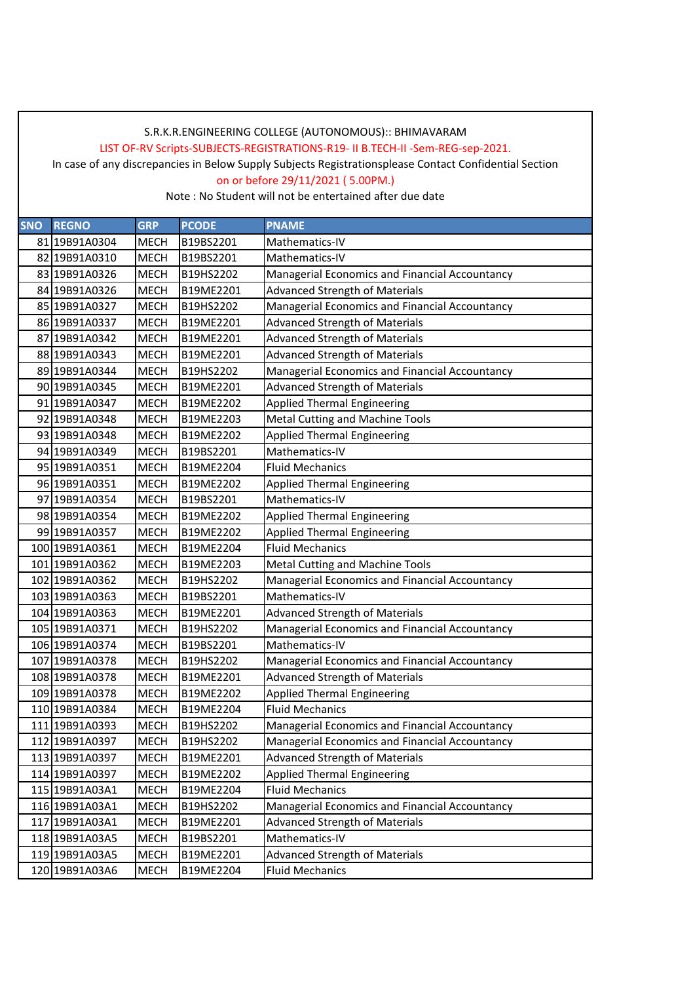LIST OF-RV Scripts-SUBJECTS-REGISTRATIONS-R19- II B.TECH-II -Sem-REG-sep-2021.

In case of any discrepancies in Below Supply Subjects Registrationsplease Contact Confidential Section

on or before 29/11/2021 ( 5.00PM.)

| <b>SNO</b> | <b>REGNO</b>   | <b>GRP</b>  | <b>PCODE</b> | <b>PNAME</b>                                   |
|------------|----------------|-------------|--------------|------------------------------------------------|
|            | 81 19B91A0304  | <b>MECH</b> | B19BS2201    | Mathematics-IV                                 |
|            | 82 19B91A0310  | <b>MECH</b> | B19BS2201    | Mathematics-IV                                 |
|            | 83 19B91A0326  | <b>MECH</b> | B19HS2202    | Managerial Economics and Financial Accountancy |
|            | 84 19B91A0326  | <b>MECH</b> | B19ME2201    | <b>Advanced Strength of Materials</b>          |
|            | 85 19B91A0327  | <b>MECH</b> | B19HS2202    | Managerial Economics and Financial Accountancy |
|            | 86 19B91A0337  | MECH        | B19ME2201    | <b>Advanced Strength of Materials</b>          |
|            | 87 19B91A0342  | <b>MECH</b> | B19ME2201    | <b>Advanced Strength of Materials</b>          |
|            | 88 19B91A0343  | <b>MECH</b> | B19ME2201    | <b>Advanced Strength of Materials</b>          |
|            | 89 19B91A0344  | <b>MECH</b> | B19HS2202    | Managerial Economics and Financial Accountancy |
|            | 90 19B91A0345  | <b>MECH</b> | B19ME2201    | <b>Advanced Strength of Materials</b>          |
|            | 91 19B91A0347  | <b>MECH</b> | B19ME2202    | <b>Applied Thermal Engineering</b>             |
|            | 92 19B91A0348  | <b>MECH</b> | B19ME2203    | Metal Cutting and Machine Tools                |
|            | 93 19B91A0348  | <b>MECH</b> | B19ME2202    | <b>Applied Thermal Engineering</b>             |
|            | 94 19B91A0349  | <b>MECH</b> | B19BS2201    | Mathematics-IV                                 |
|            | 95 19B91A0351  | <b>MECH</b> | B19ME2204    | <b>Fluid Mechanics</b>                         |
|            | 96 19B91A0351  | <b>MECH</b> | B19ME2202    | <b>Applied Thermal Engineering</b>             |
|            | 97 19B91A0354  | <b>MECH</b> | B19BS2201    | Mathematics-IV                                 |
|            | 98 19B91A0354  | <b>MECH</b> | B19ME2202    | Applied Thermal Engineering                    |
|            | 99 19B91A0357  | <b>MECH</b> | B19ME2202    | <b>Applied Thermal Engineering</b>             |
|            | 100 19B91A0361 | <b>MECH</b> | B19ME2204    | <b>Fluid Mechanics</b>                         |
|            | 101 19B91A0362 | <b>MECH</b> | B19ME2203    | Metal Cutting and Machine Tools                |
|            | 102 19B91A0362 | <b>MECH</b> | B19HS2202    | Managerial Economics and Financial Accountancy |
|            | 103 19B91A0363 | <b>MECH</b> | B19BS2201    | Mathematics-IV                                 |
|            | 104 19B91A0363 | <b>MECH</b> | B19ME2201    | <b>Advanced Strength of Materials</b>          |
|            | 105 19B91A0371 | <b>MECH</b> | B19HS2202    | Managerial Economics and Financial Accountancy |
|            | 106 19B91A0374 | <b>MECH</b> | B19BS2201    | Mathematics-IV                                 |
|            | 107 19B91A0378 | <b>MECH</b> | B19HS2202    | Managerial Economics and Financial Accountancy |
|            | 108 19B91A0378 | <b>MECH</b> | B19ME2201    | <b>Advanced Strength of Materials</b>          |
|            | 109 19B91A0378 | <b>MECH</b> | B19ME2202    | <b>Applied Thermal Engineering</b>             |
|            | 110 19B91A0384 | <b>MECH</b> | B19ME2204    | <b>Fluid Mechanics</b>                         |
|            | 111 19B91A0393 | <b>MECH</b> | B19HS2202    | Managerial Economics and Financial Accountancy |
|            | 112 19B91A0397 | <b>MECH</b> | B19HS2202    | Managerial Economics and Financial Accountancy |
|            | 113 19B91A0397 | <b>MECH</b> | B19ME2201    | <b>Advanced Strength of Materials</b>          |
|            | 114 19B91A0397 | <b>MECH</b> | B19ME2202    | <b>Applied Thermal Engineering</b>             |
|            | 115 19B91A03A1 | <b>MECH</b> | B19ME2204    | <b>Fluid Mechanics</b>                         |
|            | 116 19B91A03A1 | <b>MECH</b> | B19HS2202    | Managerial Economics and Financial Accountancy |
|            | 117 19B91A03A1 | <b>MECH</b> | B19ME2201    | <b>Advanced Strength of Materials</b>          |
|            | 118 19B91A03A5 | <b>MECH</b> | B19BS2201    | Mathematics-IV                                 |
|            | 119 19B91A03A5 | <b>MECH</b> | B19ME2201    | <b>Advanced Strength of Materials</b>          |
|            | 120 19B91A03A6 | <b>MECH</b> | B19ME2204    | <b>Fluid Mechanics</b>                         |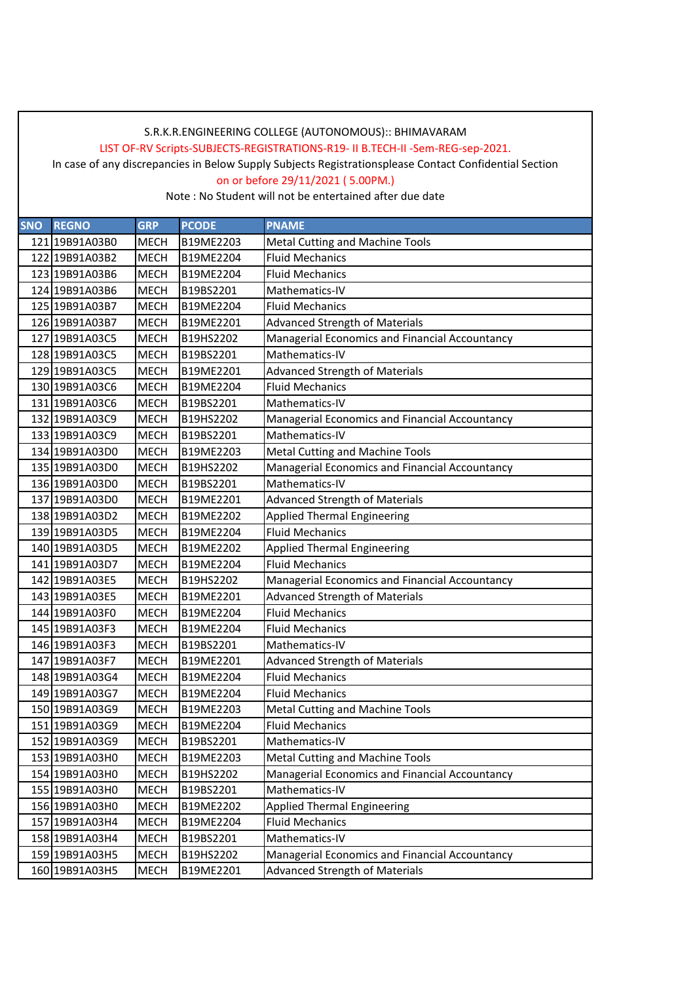LIST OF-RV Scripts-SUBJECTS-REGISTRATIONS-R19- II B.TECH-II -Sem-REG-sep-2021.

In case of any discrepancies in Below Supply Subjects Registrationsplease Contact Confidential Section

on or before 29/11/2021 ( 5.00PM.)

| <b>SNO</b><br><b>REGNO</b> | <b>GRP</b>  | <b>PCODE</b> | <b>PNAME</b>                                   |
|----------------------------|-------------|--------------|------------------------------------------------|
| 121 19B91A03B0             | <b>MECH</b> | B19ME2203    | Metal Cutting and Machine Tools                |
| 122 19B91A03B2             | <b>MECH</b> | B19ME2204    | <b>Fluid Mechanics</b>                         |
| 123 19B91A03B6             | <b>MECH</b> | B19ME2204    | <b>Fluid Mechanics</b>                         |
| 124 19B91A03B6             | <b>MECH</b> | B19BS2201    | Mathematics-IV                                 |
| 125 19B91A03B7             | <b>MECH</b> | B19ME2204    | <b>Fluid Mechanics</b>                         |
| 126 19B91A03B7             | <b>MECH</b> | B19ME2201    | <b>Advanced Strength of Materials</b>          |
| 127 19B91A03C5             | <b>MECH</b> | B19HS2202    | Managerial Economics and Financial Accountancy |
| 128 19B91A03C5             | <b>MECH</b> | B19BS2201    | Mathematics-IV                                 |
| 129 19B91A03C5             | <b>MECH</b> | B19ME2201    | <b>Advanced Strength of Materials</b>          |
| 130 19B91A03C6             | <b>MECH</b> | B19ME2204    | <b>Fluid Mechanics</b>                         |
| 131 19B91A03C6             | <b>MECH</b> | B19BS2201    | Mathematics-IV                                 |
| 132 19B91A03C9             | <b>MECH</b> | B19HS2202    | Managerial Economics and Financial Accountancy |
| 133 19B91A03C9             | <b>MECH</b> | B19BS2201    | Mathematics-IV                                 |
| 134 19B91A03D0             | <b>MECH</b> | B19ME2203    | Metal Cutting and Machine Tools                |
| 135 19B91A03D0             | <b>MECH</b> | B19HS2202    | Managerial Economics and Financial Accountancy |
| 136 19B91A03D0             | <b>MECH</b> | B19BS2201    | Mathematics-IV                                 |
| 137 19B91A03D0             | <b>MECH</b> | B19ME2201    | <b>Advanced Strength of Materials</b>          |
| 138 19B91A03D2             | <b>MECH</b> | B19ME2202    | <b>Applied Thermal Engineering</b>             |
| 139 19B91A03D5             | <b>MECH</b> | B19ME2204    | <b>Fluid Mechanics</b>                         |
| 140 19B91A03D5             | <b>MECH</b> | B19ME2202    | <b>Applied Thermal Engineering</b>             |
| 141 19B91A03D7             | <b>MECH</b> | B19ME2204    | <b>Fluid Mechanics</b>                         |
| 142 19B91A03E5             | <b>MECH</b> | B19HS2202    | Managerial Economics and Financial Accountancy |
| 143 19B91A03E5             | <b>MECH</b> | B19ME2201    | <b>Advanced Strength of Materials</b>          |
| 144 19B91A03F0             | <b>MECH</b> | B19ME2204    | <b>Fluid Mechanics</b>                         |
| 145 19B91A03F3             | <b>MECH</b> | B19ME2204    | <b>Fluid Mechanics</b>                         |
| 146 19B91A03F3             | <b>MECH</b> | B19BS2201    | Mathematics-IV                                 |
| 147 19B91A03F7             | <b>MECH</b> | B19ME2201    | <b>Advanced Strength of Materials</b>          |
| 148 19B91A03G4             | <b>MECH</b> | B19ME2204    | <b>Fluid Mechanics</b>                         |
| 149 19B91A03G7             | <b>MECH</b> | B19ME2204    | <b>Fluid Mechanics</b>                         |
| 150 19B91A03G9             | <b>MECH</b> | B19ME2203    | Metal Cutting and Machine Tools                |
| 151 19B91A03G9             | <b>MECH</b> | B19ME2204    | <b>Fluid Mechanics</b>                         |
| 152 19B91A03G9             | MECH        | B19BS2201    | Mathematics-IV                                 |
| 153 19B91A03H0             | <b>MECH</b> | B19ME2203    | <b>Metal Cutting and Machine Tools</b>         |
| 154 19B91A03H0             | MECH        | B19HS2202    | Managerial Economics and Financial Accountancy |
| 155 19B91A03H0             | <b>MECH</b> | B19BS2201    | Mathematics-IV                                 |
| 156 19B91A03H0             | <b>MECH</b> | B19ME2202    | <b>Applied Thermal Engineering</b>             |
| 157 19B91A03H4             | <b>MECH</b> | B19ME2204    | <b>Fluid Mechanics</b>                         |
| 158 19B91A03H4             | <b>MECH</b> | B19BS2201    | Mathematics-IV                                 |
| 159 19B91A03H5             | <b>MECH</b> | B19HS2202    | Managerial Economics and Financial Accountancy |
| 160 19B91A03H5             | <b>MECH</b> | B19ME2201    | <b>Advanced Strength of Materials</b>          |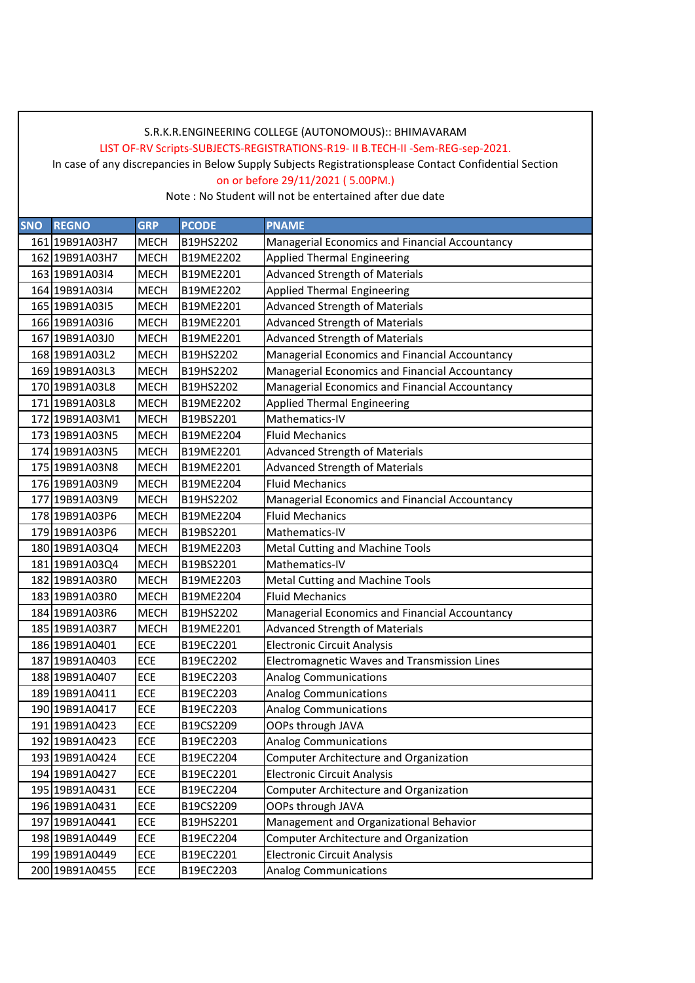LIST OF-RV Scripts-SUBJECTS-REGISTRATIONS-R19- II B.TECH-II -Sem-REG-sep-2021.

In case of any discrepancies in Below Supply Subjects Registrationsplease Contact Confidential Section

on or before 29/11/2021 ( 5.00PM.)

| <b>SNO</b> | <b>REGNO</b>   | <b>GRP</b>  | <b>PCODE</b> | <b>PNAME</b>                                   |
|------------|----------------|-------------|--------------|------------------------------------------------|
|            | 161 19B91A03H7 | <b>MECH</b> | B19HS2202    | Managerial Economics and Financial Accountancy |
|            | 162 19B91A03H7 | <b>MECH</b> | B19ME2202    | <b>Applied Thermal Engineering</b>             |
|            | 163 19B91A0314 | <b>MECH</b> | B19ME2201    | <b>Advanced Strength of Materials</b>          |
|            | 164 19B91A0314 | <b>MECH</b> | B19ME2202    | <b>Applied Thermal Engineering</b>             |
|            | 165 19B91A0315 | <b>MECH</b> | B19ME2201    | <b>Advanced Strength of Materials</b>          |
|            | 166 19B91A0316 | <b>MECH</b> | B19ME2201    | <b>Advanced Strength of Materials</b>          |
|            | 167 19B91A03J0 | <b>MECH</b> | B19ME2201    | <b>Advanced Strength of Materials</b>          |
|            | 168 19B91A03L2 | <b>MECH</b> | B19HS2202    | Managerial Economics and Financial Accountancy |
|            | 169 19B91A03L3 | <b>MECH</b> | B19HS2202    | Managerial Economics and Financial Accountancy |
|            | 170 19B91A03L8 | <b>MECH</b> | B19HS2202    | Managerial Economics and Financial Accountancy |
|            | 171 19B91A03L8 | <b>MECH</b> | B19ME2202    | <b>Applied Thermal Engineering</b>             |
|            | 172 19B91A03M1 | <b>MECH</b> | B19BS2201    | Mathematics-IV                                 |
|            | 173 19B91A03N5 | <b>MECH</b> | B19ME2204    | <b>Fluid Mechanics</b>                         |
|            | 174 19B91A03N5 | <b>MECH</b> | B19ME2201    | <b>Advanced Strength of Materials</b>          |
|            | 175 19B91A03N8 | <b>MECH</b> | B19ME2201    | <b>Advanced Strength of Materials</b>          |
|            | 176 19B91A03N9 | <b>MECH</b> | B19ME2204    | <b>Fluid Mechanics</b>                         |
|            | 177 19B91A03N9 | <b>MECH</b> | B19HS2202    | Managerial Economics and Financial Accountancy |
|            | 178 19B91A03P6 | <b>MECH</b> | B19ME2204    | <b>Fluid Mechanics</b>                         |
|            | 179 19B91A03P6 | <b>MECH</b> | B19BS2201    | Mathematics-IV                                 |
|            | 180 19B91A03Q4 | <b>MECH</b> | B19ME2203    | Metal Cutting and Machine Tools                |
|            | 181 19B91A03Q4 | <b>MECH</b> | B19BS2201    | Mathematics-IV                                 |
|            | 182 19B91A03R0 | <b>MECH</b> | B19ME2203    | <b>Metal Cutting and Machine Tools</b>         |
|            | 183 19B91A03R0 | <b>MECH</b> | B19ME2204    | <b>Fluid Mechanics</b>                         |
|            | 184 19B91A03R6 | <b>MECH</b> | B19HS2202    | Managerial Economics and Financial Accountancy |
|            | 185 19B91A03R7 | <b>MECH</b> | B19ME2201    | <b>Advanced Strength of Materials</b>          |
|            | 186 19B91A0401 | <b>ECE</b>  | B19EC2201    | <b>Electronic Circuit Analysis</b>             |
|            | 187 19B91A0403 | ECE         | B19EC2202    | Electromagnetic Waves and Transmission Lines   |
|            | 188 19B91A0407 | ECE         | B19EC2203    | <b>Analog Communications</b>                   |
|            | 189 19B91A0411 | ECE         | B19EC2203    | <b>Analog Communications</b>                   |
|            | 190 19B91A0417 | ECE         | B19EC2203    | <b>Analog Communications</b>                   |
|            | 191 19B91A0423 | ECE         | B19CS2209    | OOPs through JAVA                              |
|            | 192 19B91A0423 | ECE         | B19EC2203    | Analog Communications                          |
|            | 193 19B91A0424 | ECE         | B19EC2204    | Computer Architecture and Organization         |
|            | 194 19B91A0427 | ECE         | B19EC2201    | <b>Electronic Circuit Analysis</b>             |
|            | 195 19B91A0431 | ECE         | B19EC2204    | Computer Architecture and Organization         |
|            | 196 19B91A0431 | ECE         | B19CS2209    | OOPs through JAVA                              |
|            | 197 19B91A0441 | ECE         | B19HS2201    | Management and Organizational Behavior         |
|            | 198 19B91A0449 | ECE         | B19EC2204    | <b>Computer Architecture and Organization</b>  |
|            | 199 19B91A0449 | ECE         | B19EC2201    | <b>Electronic Circuit Analysis</b>             |
|            | 200 19B91A0455 | ECE         | B19EC2203    | <b>Analog Communications</b>                   |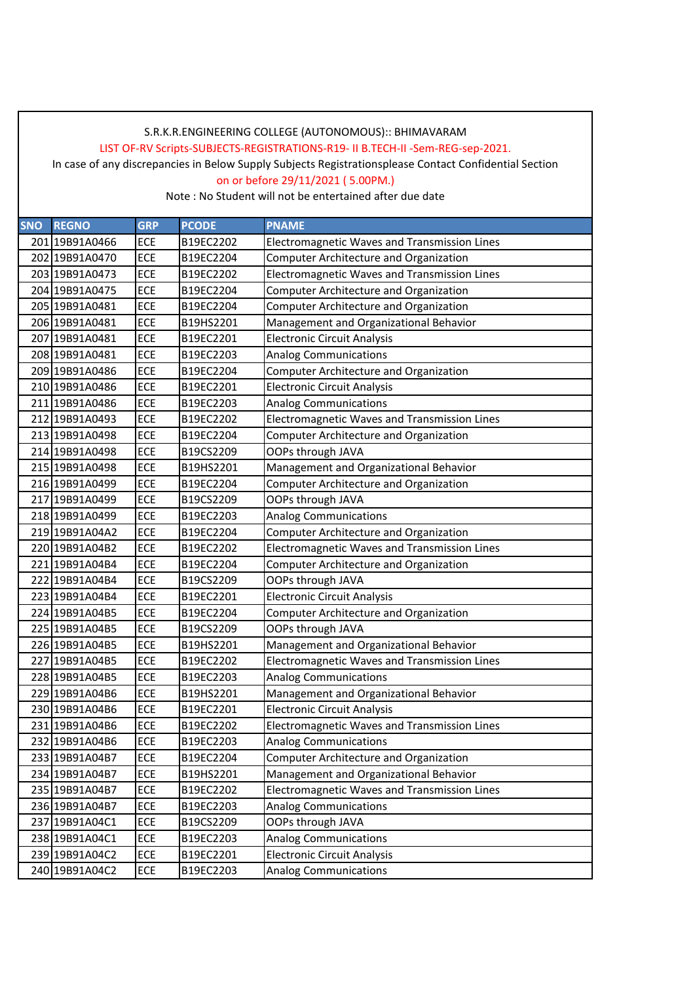LIST OF-RV Scripts-SUBJECTS-REGISTRATIONS-R19- II B.TECH-II -Sem-REG-sep-2021.

In case of any discrepancies in Below Supply Subjects Registrationsplease Contact Confidential Section

on or before 29/11/2021 ( 5.00PM.)

| <b>SNO</b> | <b>REGNO</b>   | <b>GRP</b> | <b>PCODE</b> | <b>PNAME</b>                                  |
|------------|----------------|------------|--------------|-----------------------------------------------|
|            | 201 19B91A0466 | <b>ECE</b> | B19EC2202    | Electromagnetic Waves and Transmission Lines  |
|            | 202 19B91A0470 | <b>ECE</b> | B19EC2204    | Computer Architecture and Organization        |
|            | 203 19B91A0473 | ECE        | B19EC2202    | Electromagnetic Waves and Transmission Lines  |
|            | 204 19B91A0475 | ECE        | B19EC2204    | <b>Computer Architecture and Organization</b> |
|            | 205 19B91A0481 | ECE        | B19EC2204    | Computer Architecture and Organization        |
|            | 206 19B91A0481 | <b>ECE</b> | B19HS2201    | Management and Organizational Behavior        |
|            | 207 19B91A0481 | ECE        | B19EC2201    | <b>Electronic Circuit Analysis</b>            |
|            | 208 19B91A0481 | ECE        | B19EC2203    | <b>Analog Communications</b>                  |
|            | 209 19B91A0486 | <b>ECE</b> | B19EC2204    | Computer Architecture and Organization        |
|            | 210 19B91A0486 | ECE        | B19EC2201    | <b>Electronic Circuit Analysis</b>            |
|            | 211 19B91A0486 | ECE        | B19EC2203    | <b>Analog Communications</b>                  |
|            | 212 19B91A0493 | <b>ECE</b> | B19EC2202    | Electromagnetic Waves and Transmission Lines  |
|            | 213 19B91A0498 | ECE        | B19EC2204    | Computer Architecture and Organization        |
|            | 214 19B91A0498 | ECE        | B19CS2209    | OOPs through JAVA                             |
|            | 215 19B91A0498 | ECE        | B19HS2201    | Management and Organizational Behavior        |
|            | 216 19B91A0499 | <b>ECE</b> | B19EC2204    | Computer Architecture and Organization        |
|            | 217 19B91A0499 | ECE        | B19CS2209    | OOPs through JAVA                             |
|            | 218 19B91A0499 | ECE        | B19EC2203    | <b>Analog Communications</b>                  |
|            | 219 19B91A04A2 | ECE        | B19EC2204    | Computer Architecture and Organization        |
|            | 220 19B91A04B2 | ECE        | B19EC2202    | Electromagnetic Waves and Transmission Lines  |
|            | 221 19B91A04B4 | ECE        | B19EC2204    | Computer Architecture and Organization        |
|            | 222 19B91A04B4 | <b>ECE</b> | B19CS2209    | OOPs through JAVA                             |
|            | 223 19B91A04B4 | ECE        | B19EC2201    | <b>Electronic Circuit Analysis</b>            |
|            | 224 19B91A04B5 | ECE        | B19EC2204    | <b>Computer Architecture and Organization</b> |
|            | 225 19B91A04B5 | ECE        | B19CS2209    | OOPs through JAVA                             |
|            | 226 19B91A04B5 | <b>ECE</b> | B19HS2201    | Management and Organizational Behavior        |
|            | 227 19B91A04B5 | ECE        | B19EC2202    | Electromagnetic Waves and Transmission Lines  |
|            | 228 19B91A04B5 | ECE        | B19EC2203    | <b>Analog Communications</b>                  |
|            | 229 19B91A04B6 | <b>ECE</b> | B19HS2201    | Management and Organizational Behavior        |
|            | 230 19B91A04B6 | ECE        | B19EC2201    | <b>Electronic Circuit Analysis</b>            |
|            | 231 19B91A04B6 | ECE        | B19EC2202    | Electromagnetic Waves and Transmission Lines  |
|            | 232 19B91A04B6 | ECE        | B19EC2203    | <b>Analog Communications</b>                  |
|            | 233 19B91A04B7 | ECE        | B19EC2204    | Computer Architecture and Organization        |
|            | 234 19B91A04B7 | ECE        | B19HS2201    | Management and Organizational Behavior        |
|            | 235 19B91A04B7 | ECE        | B19EC2202    | Electromagnetic Waves and Transmission Lines  |
|            | 236 19B91A04B7 | ECE        | B19EC2203    | <b>Analog Communications</b>                  |
|            | 237 19B91A04C1 | ECE        | B19CS2209    | OOPs through JAVA                             |
|            | 238 19B91A04C1 | ECE        | B19EC2203    | <b>Analog Communications</b>                  |
|            | 239 19B91A04C2 | ECE        | B19EC2201    | <b>Electronic Circuit Analysis</b>            |
|            | 240 19B91A04C2 | ECE        | B19EC2203    | <b>Analog Communications</b>                  |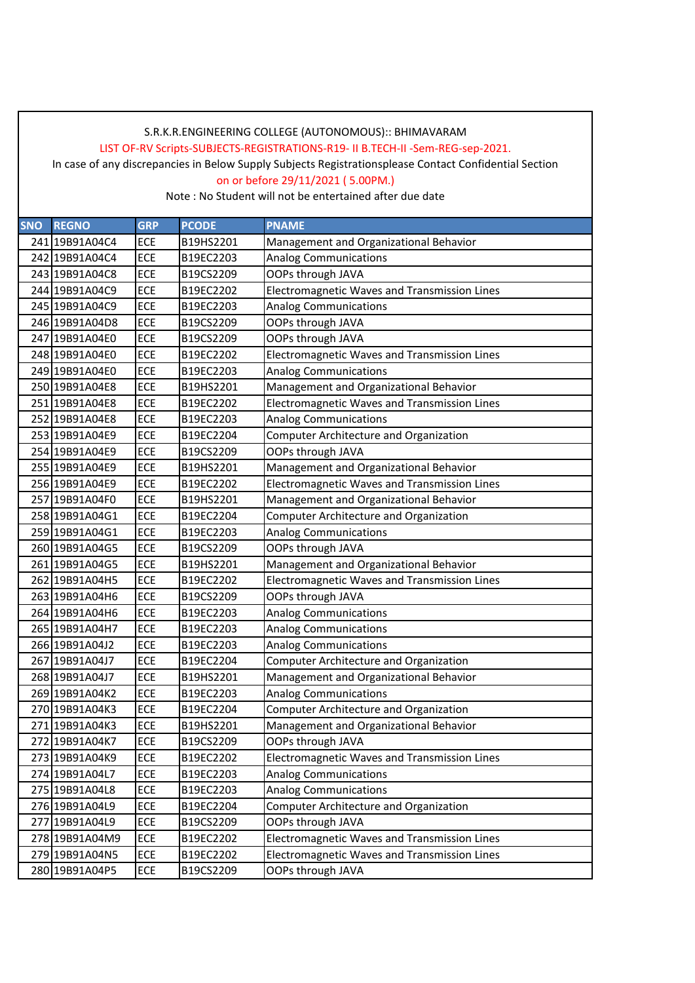LIST OF-RV Scripts-SUBJECTS-REGISTRATIONS-R19- II B.TECH-II -Sem-REG-sep-2021.

In case of any discrepancies in Below Supply Subjects Registrationsplease Contact Confidential Section

on or before 29/11/2021 ( 5.00PM.)

| <b>SNO</b> | <b>REGNO</b>   | <b>GRP</b> | <b>PCODE</b> | <b>PNAME</b>                                  |
|------------|----------------|------------|--------------|-----------------------------------------------|
|            | 241 19B91A04C4 | <b>ECE</b> | B19HS2201    | Management and Organizational Behavior        |
|            | 242 19B91A04C4 | <b>ECE</b> | B19EC2203    | <b>Analog Communications</b>                  |
|            | 243 19B91A04C8 | <b>ECE</b> | B19CS2209    | OOPs through JAVA                             |
|            | 244 19B91A04C9 | <b>ECE</b> | B19EC2202    | Electromagnetic Waves and Transmission Lines  |
|            | 245 19B91A04C9 | <b>ECE</b> | B19EC2203    | <b>Analog Communications</b>                  |
|            | 246 19B91A04D8 | <b>ECE</b> | B19CS2209    | OOPs through JAVA                             |
|            | 247 19B91A04E0 | <b>ECE</b> | B19CS2209    | OOPs through JAVA                             |
|            | 248 19B91A04E0 | <b>ECE</b> | B19EC2202    | Electromagnetic Waves and Transmission Lines  |
|            | 249 19B91A04E0 | <b>ECE</b> | B19EC2203    | <b>Analog Communications</b>                  |
|            | 250 19B91A04E8 | <b>ECE</b> | B19HS2201    | Management and Organizational Behavior        |
|            | 251 19B91A04E8 | <b>ECE</b> | B19EC2202    | Electromagnetic Waves and Transmission Lines  |
|            | 252 19B91A04E8 | <b>ECE</b> | B19EC2203    | <b>Analog Communications</b>                  |
|            | 253 19B91A04E9 | <b>ECE</b> | B19EC2204    | <b>Computer Architecture and Organization</b> |
|            | 254 19B91A04E9 | <b>ECE</b> | B19CS2209    | OOPs through JAVA                             |
|            | 255 19B91A04E9 | <b>ECE</b> | B19HS2201    | Management and Organizational Behavior        |
|            | 256 19B91A04E9 | <b>ECE</b> | B19EC2202    | Electromagnetic Waves and Transmission Lines  |
|            | 257 19B91A04F0 | <b>ECE</b> | B19HS2201    | Management and Organizational Behavior        |
|            | 258 19B91A04G1 | <b>ECE</b> | B19EC2204    | Computer Architecture and Organization        |
|            | 259 19B91A04G1 | <b>ECE</b> | B19EC2203    | <b>Analog Communications</b>                  |
|            | 260 19B91A04G5 | <b>ECE</b> | B19CS2209    | OOPs through JAVA                             |
|            | 261 19B91A04G5 | <b>ECE</b> | B19HS2201    | Management and Organizational Behavior        |
|            | 262 19B91A04H5 | <b>ECE</b> | B19EC2202    | Electromagnetic Waves and Transmission Lines  |
|            | 263 19B91A04H6 | <b>ECE</b> | B19CS2209    | OOPs through JAVA                             |
|            | 264 19B91A04H6 | <b>ECE</b> | B19EC2203    | <b>Analog Communications</b>                  |
|            | 265 19B91A04H7 | <b>ECE</b> | B19EC2203    | <b>Analog Communications</b>                  |
|            | 266 19B91A04J2 | <b>ECE</b> | B19EC2203    | <b>Analog Communications</b>                  |
|            | 267 19B91A04J7 | <b>ECE</b> | B19EC2204    | <b>Computer Architecture and Organization</b> |
|            | 268 19B91A04J7 | <b>ECE</b> | B19HS2201    | Management and Organizational Behavior        |
|            | 269 19B91A04K2 | <b>ECE</b> | B19EC2203    | <b>Analog Communications</b>                  |
|            | 270 19B91A04K3 | <b>ECE</b> | B19EC2204    | Computer Architecture and Organization        |
|            | 271 19B91A04K3 | <b>ECE</b> | B19HS2201    | Management and Organizational Behavior        |
|            | 272 19B91A04K7 | ECE        | B19CS2209    | OOPs through JAVA                             |
|            | 273 19B91A04K9 | ECE        | B19EC2202    | Electromagnetic Waves and Transmission Lines  |
|            | 274 19B91A04L7 | <b>ECE</b> | B19EC2203    | <b>Analog Communications</b>                  |
|            | 275 19B91A04L8 | ECE        | B19EC2203    | <b>Analog Communications</b>                  |
|            | 276 19B91A04L9 | ECE        | B19EC2204    | Computer Architecture and Organization        |
|            | 277 19B91A04L9 | <b>ECE</b> | B19CS2209    | OOPs through JAVA                             |
|            | 278 19B91A04M9 | ECE        | B19EC2202    | Electromagnetic Waves and Transmission Lines  |
|            | 279 19B91A04N5 | <b>ECE</b> | B19EC2202    | Electromagnetic Waves and Transmission Lines  |
|            | 280 19B91A04P5 | <b>ECE</b> | B19CS2209    | OOPs through JAVA                             |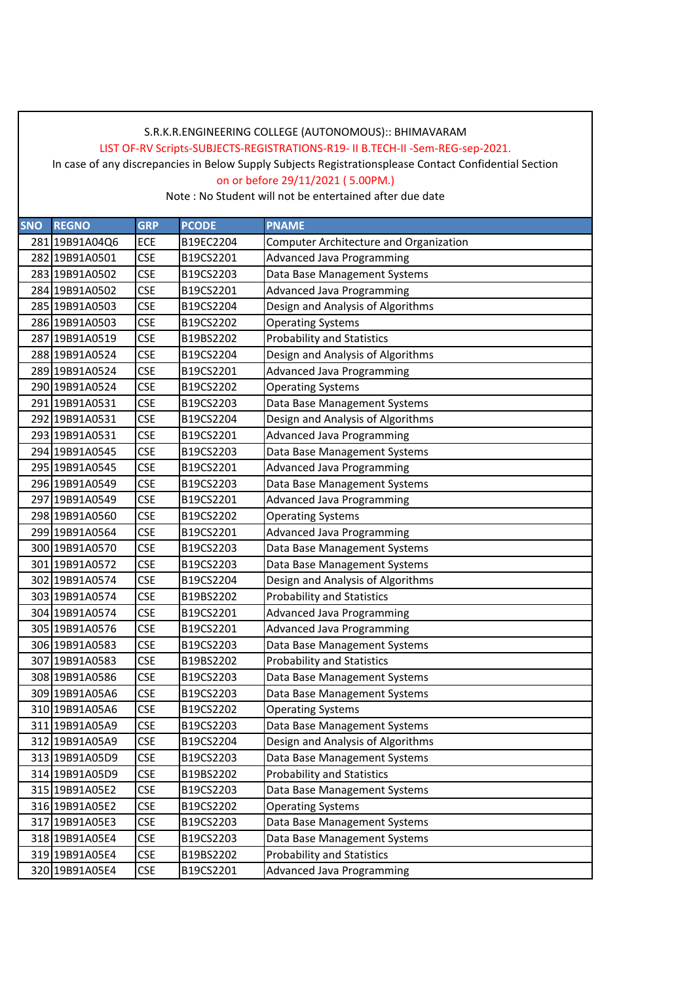LIST OF-RV Scripts-SUBJECTS-REGISTRATIONS-R19- II B.TECH-II -Sem-REG-sep-2021.

In case of any discrepancies in Below Supply Subjects Registrationsplease Contact Confidential Section

on or before 29/11/2021 ( 5.00PM.)

| <b>SNO</b> | <b>REGNO</b>   | <b>GRP</b> | <b>PCODE</b> | <b>PNAME</b>                           |
|------------|----------------|------------|--------------|----------------------------------------|
|            | 281 19B91A04Q6 | <b>ECE</b> | B19EC2204    | Computer Architecture and Organization |
|            | 282 19B91A0501 | <b>CSE</b> | B19CS2201    | <b>Advanced Java Programming</b>       |
|            | 283 19B91A0502 | <b>CSE</b> | B19CS2203    | Data Base Management Systems           |
|            | 284 19B91A0502 | <b>CSE</b> | B19CS2201    | <b>Advanced Java Programming</b>       |
|            | 285 19B91A0503 | <b>CSE</b> | B19CS2204    | Design and Analysis of Algorithms      |
|            | 286 19B91A0503 | <b>CSE</b> | B19CS2202    | <b>Operating Systems</b>               |
|            | 287 19B91A0519 | <b>CSE</b> | B19BS2202    | <b>Probability and Statistics</b>      |
|            | 288 19B91A0524 | <b>CSE</b> | B19CS2204    | Design and Analysis of Algorithms      |
|            | 289 19B91A0524 | <b>CSE</b> | B19CS2201    | <b>Advanced Java Programming</b>       |
|            | 290 19B91A0524 | <b>CSE</b> | B19CS2202    | <b>Operating Systems</b>               |
|            | 291 19B91A0531 | <b>CSE</b> | B19CS2203    | Data Base Management Systems           |
|            | 292 19B91A0531 | <b>CSE</b> | B19CS2204    | Design and Analysis of Algorithms      |
|            | 293 19B91A0531 | <b>CSE</b> | B19CS2201    | <b>Advanced Java Programming</b>       |
|            | 294 19B91A0545 | <b>CSE</b> | B19CS2203    | Data Base Management Systems           |
|            | 295 19B91A0545 | <b>CSE</b> | B19CS2201    | <b>Advanced Java Programming</b>       |
|            | 296 19B91A0549 | <b>CSE</b> | B19CS2203    | Data Base Management Systems           |
|            | 297 19B91A0549 | <b>CSE</b> | B19CS2201    | <b>Advanced Java Programming</b>       |
|            | 298 19B91A0560 | <b>CSE</b> | B19CS2202    | <b>Operating Systems</b>               |
|            | 299 19B91A0564 | <b>CSE</b> | B19CS2201    | <b>Advanced Java Programming</b>       |
|            | 300 19B91A0570 | <b>CSE</b> | B19CS2203    | Data Base Management Systems           |
|            | 301 19B91A0572 | <b>CSE</b> | B19CS2203    | Data Base Management Systems           |
|            | 302 19B91A0574 | <b>CSE</b> | B19CS2204    | Design and Analysis of Algorithms      |
|            | 303 19B91A0574 | <b>CSE</b> | B19BS2202    | <b>Probability and Statistics</b>      |
|            | 304 19B91A0574 | <b>CSE</b> | B19CS2201    | <b>Advanced Java Programming</b>       |
|            | 305 19B91A0576 | <b>CSE</b> | B19CS2201    | <b>Advanced Java Programming</b>       |
|            | 306 19B91A0583 | <b>CSE</b> | B19CS2203    | Data Base Management Systems           |
|            | 307 19B91A0583 | <b>CSE</b> | B19BS2202    | <b>Probability and Statistics</b>      |
|            | 308 19B91A0586 | <b>CSE</b> | B19CS2203    | Data Base Management Systems           |
|            | 309 19B91A05A6 | <b>CSE</b> | B19CS2203    | Data Base Management Systems           |
|            | 310 19B91A05A6 | <b>CSE</b> | B19CS2202    | <b>Operating Systems</b>               |
|            | 311 19B91A05A9 | <b>CSE</b> | B19CS2203    | Data Base Management Systems           |
|            | 312 19B91A05A9 | <b>CSE</b> | B19CS2204    | Design and Analysis of Algorithms      |
|            | 313 19B91A05D9 | <b>CSE</b> | B19CS2203    | Data Base Management Systems           |
|            | 314 19B91A05D9 | <b>CSE</b> | B19BS2202    | <b>Probability and Statistics</b>      |
|            | 315 19B91A05E2 | <b>CSE</b> | B19CS2203    | Data Base Management Systems           |
|            | 316 19B91A05E2 | <b>CSE</b> | B19CS2202    | <b>Operating Systems</b>               |
|            | 317 19B91A05E3 | <b>CSE</b> | B19CS2203    | Data Base Management Systems           |
|            | 318 19B91A05E4 | <b>CSE</b> | B19CS2203    | Data Base Management Systems           |
|            | 319 19B91A05E4 | <b>CSE</b> | B19BS2202    | <b>Probability and Statistics</b>      |
|            | 320 19B91A05E4 | <b>CSE</b> | B19CS2201    | <b>Advanced Java Programming</b>       |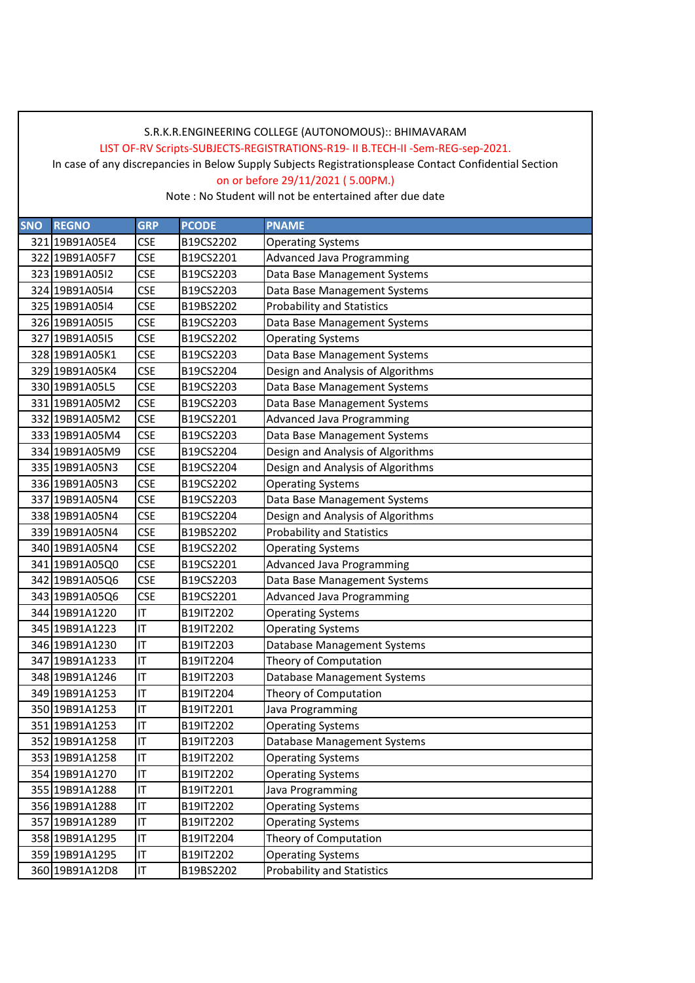LIST OF-RV Scripts-SUBJECTS-REGISTRATIONS-R19- II B.TECH-II -Sem-REG-sep-2021.

In case of any discrepancies in Below Supply Subjects Registrationsplease Contact Confidential Section

on or before 29/11/2021 ( 5.00PM.)

| SNO | <b>REGNO</b>   | <b>GRP</b> | <b>PCODE</b> | <b>PNAME</b>                      |
|-----|----------------|------------|--------------|-----------------------------------|
|     | 321 19B91A05E4 | <b>CSE</b> | B19CS2202    | <b>Operating Systems</b>          |
|     | 322 19B91A05F7 | <b>CSE</b> | B19CS2201    | <b>Advanced Java Programming</b>  |
|     | 323 19B91A0512 | <b>CSE</b> | B19CS2203    | Data Base Management Systems      |
|     | 324 19B91A05I4 | <b>CSE</b> | B19CS2203    | Data Base Management Systems      |
|     | 325 19B91A0514 | <b>CSE</b> | B19BS2202    | <b>Probability and Statistics</b> |
|     | 326 19B91A0515 | <b>CSE</b> | B19CS2203    | Data Base Management Systems      |
|     | 327 19B91A0515 | <b>CSE</b> | B19CS2202    | <b>Operating Systems</b>          |
|     | 328 19B91A05K1 | <b>CSE</b> | B19CS2203    | Data Base Management Systems      |
|     | 329 19B91A05K4 | <b>CSE</b> | B19CS2204    | Design and Analysis of Algorithms |
|     | 330 19B91A05L5 | <b>CSE</b> | B19CS2203    | Data Base Management Systems      |
|     | 331 19B91A05M2 | <b>CSE</b> | B19CS2203    | Data Base Management Systems      |
|     | 332 19B91A05M2 | <b>CSE</b> | B19CS2201    | <b>Advanced Java Programming</b>  |
|     | 333 19B91A05M4 | <b>CSE</b> | B19CS2203    | Data Base Management Systems      |
|     | 334 19B91A05M9 | <b>CSE</b> | B19CS2204    | Design and Analysis of Algorithms |
|     | 335 19B91A05N3 | <b>CSE</b> | B19CS2204    | Design and Analysis of Algorithms |
|     | 336 19B91A05N3 | <b>CSE</b> | B19CS2202    | <b>Operating Systems</b>          |
|     | 337 19B91A05N4 | <b>CSE</b> | B19CS2203    | Data Base Management Systems      |
|     | 338 19B91A05N4 | <b>CSE</b> | B19CS2204    | Design and Analysis of Algorithms |
|     | 339 19B91A05N4 | <b>CSE</b> | B19BS2202    | <b>Probability and Statistics</b> |
|     | 340 19B91A05N4 | <b>CSE</b> | B19CS2202    | <b>Operating Systems</b>          |
|     | 341 19B91A05Q0 | <b>CSE</b> | B19CS2201    | <b>Advanced Java Programming</b>  |
|     | 342 19B91A05Q6 | <b>CSE</b> | B19CS2203    | Data Base Management Systems      |
|     | 343 19B91A05Q6 | <b>CSE</b> | B19CS2201    | <b>Advanced Java Programming</b>  |
|     | 344 19B91A1220 | IT         | B19IT2202    | <b>Operating Systems</b>          |
|     | 345 19B91A1223 | IT         | B19IT2202    | <b>Operating Systems</b>          |
|     | 346 19B91A1230 | IT         | B19IT2203    | Database Management Systems       |
|     | 347 19B91A1233 | IT         | B19IT2204    | Theory of Computation             |
|     | 348 19B91A1246 | IT         | B19IT2203    | Database Management Systems       |
|     | 349 19B91A1253 | IT         | B19IT2204    | Theory of Computation             |
|     | 350 19B91A1253 | IT         | B19IT2201    | Java Programming                  |
|     | 351 19B91A1253 | IT         | B19IT2202    | <b>Operating Systems</b>          |
|     | 352 19B91A1258 | IT         | B19IT2203    | Database Management Systems       |
|     | 353 19B91A1258 | IT         | B19IT2202    | <b>Operating Systems</b>          |
|     | 354 19B91A1270 | IT         | B19IT2202    | <b>Operating Systems</b>          |
|     | 355 19B91A1288 | IT         | B19IT2201    | Java Programming                  |
|     | 356 19B91A1288 | IT         | B19IT2202    | <b>Operating Systems</b>          |
|     | 357 19B91A1289 | IT         | B19IT2202    | <b>Operating Systems</b>          |
|     | 358 19B91A1295 | IT         | B19IT2204    | Theory of Computation             |
|     | 359 19B91A1295 | IT         | B19IT2202    | <b>Operating Systems</b>          |
|     | 360 19B91A12D8 | IT         | B19BS2202    | <b>Probability and Statistics</b> |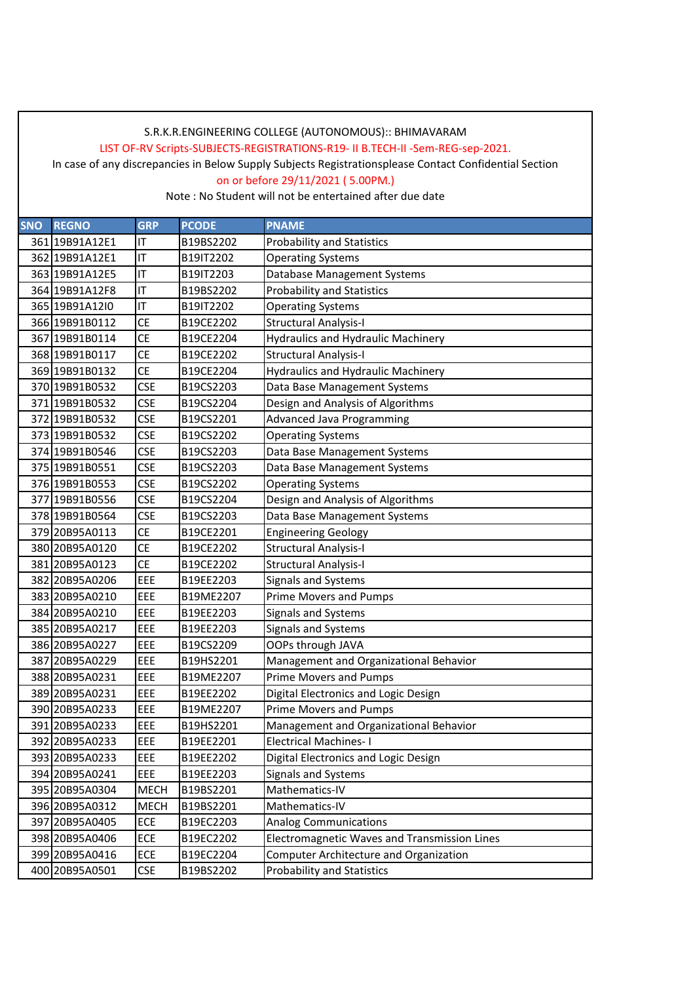LIST OF-RV Scripts-SUBJECTS-REGISTRATIONS-R19- II B.TECH-II -Sem-REG-sep-2021.

In case of any discrepancies in Below Supply Subjects Registrationsplease Contact Confidential Section

on or before 29/11/2021 ( 5.00PM.)

| <b>SNO</b> | <b>REGNO</b>   | <b>GRP</b>  | <b>PCODE</b> | <b>PNAME</b>                                 |
|------------|----------------|-------------|--------------|----------------------------------------------|
|            | 361 19B91A12E1 | IT          | B19BS2202    | <b>Probability and Statistics</b>            |
|            | 362 19B91A12E1 | IT          | B19IT2202    | <b>Operating Systems</b>                     |
|            | 363 19B91A12E5 | IT          | B19IT2203    | Database Management Systems                  |
|            | 364 19B91A12F8 | IT          | B19BS2202    | <b>Probability and Statistics</b>            |
|            | 365 19B91A12I0 | IT          | B19IT2202    | <b>Operating Systems</b>                     |
|            | 366 19B91B0112 | <b>CE</b>   | B19CE2202    | <b>Structural Analysis-I</b>                 |
|            | 367 19B91B0114 | <b>CE</b>   | B19CE2204    | <b>Hydraulics and Hydraulic Machinery</b>    |
|            | 368 19B91B0117 | <b>CE</b>   | B19CE2202    | <b>Structural Analysis-I</b>                 |
|            | 369 19B91B0132 | <b>CE</b>   | B19CE2204    | <b>Hydraulics and Hydraulic Machinery</b>    |
|            | 370 19B91B0532 | <b>CSE</b>  | B19CS2203    | Data Base Management Systems                 |
|            | 371 19B91B0532 | <b>CSE</b>  | B19CS2204    | Design and Analysis of Algorithms            |
|            | 372 19B91B0532 | <b>CSE</b>  | B19CS2201    | <b>Advanced Java Programming</b>             |
|            | 373 19B91B0532 | <b>CSE</b>  | B19CS2202    | <b>Operating Systems</b>                     |
|            | 374 19B91B0546 | <b>CSE</b>  | B19CS2203    | Data Base Management Systems                 |
|            | 375 19B91B0551 | <b>CSE</b>  | B19CS2203    | Data Base Management Systems                 |
|            | 376 19B91B0553 | <b>CSE</b>  | B19CS2202    | <b>Operating Systems</b>                     |
|            | 377 19B91B0556 | <b>CSE</b>  | B19CS2204    | Design and Analysis of Algorithms            |
|            | 378 19B91B0564 | <b>CSE</b>  | B19CS2203    | Data Base Management Systems                 |
|            | 379 20B95A0113 | <b>CE</b>   | B19CE2201    | <b>Engineering Geology</b>                   |
|            | 380 20B95A0120 | <b>CE</b>   | B19CE2202    | <b>Structural Analysis-I</b>                 |
|            | 381 20B95A0123 | <b>CE</b>   | B19CE2202    | <b>Structural Analysis-I</b>                 |
|            | 382 20B95A0206 | EEE         | B19EE2203    | Signals and Systems                          |
|            | 383 20B95A0210 | EEE         | B19ME2207    | <b>Prime Movers and Pumps</b>                |
|            | 384 20B95A0210 | EEE         | B19EE2203    | Signals and Systems                          |
|            | 385 20B95A0217 | EEE         | B19EE2203    | Signals and Systems                          |
|            | 386 20B95A0227 | EEE         | B19CS2209    | OOPs through JAVA                            |
|            | 387 20B95A0229 | EEE         | B19HS2201    | Management and Organizational Behavior       |
|            | 388 20B95A0231 | EEE         | B19ME2207    | <b>Prime Movers and Pumps</b>                |
|            | 389 20B95A0231 | EEE         | B19EE2202    | Digital Electronics and Logic Design         |
|            | 390 20B95A0233 | EEE         | B19ME2207    | <b>Prime Movers and Pumps</b>                |
|            | 391 20B95A0233 | EEE         | B19HS2201    | Management and Organizational Behavior       |
|            | 392 20B95A0233 | EEE         | B19EE2201    | <b>Electrical Machines-I</b>                 |
|            | 393 20B95A0233 | EEE         | B19EE2202    | Digital Electronics and Logic Design         |
|            | 394 20B95A0241 | EEE         | B19EE2203    | Signals and Systems                          |
|            | 395 20B95A0304 | <b>MECH</b> | B19BS2201    | Mathematics-IV                               |
|            | 396 20B95A0312 | <b>MECH</b> | B19BS2201    | Mathematics-IV                               |
|            | 397 20B95A0405 | ECE         | B19EC2203    | <b>Analog Communications</b>                 |
|            | 398 20B95A0406 | <b>ECE</b>  | B19EC2202    | Electromagnetic Waves and Transmission Lines |
|            | 399 20B95A0416 | <b>ECE</b>  | B19EC2204    | Computer Architecture and Organization       |
|            | 400 20B95A0501 | <b>CSE</b>  | B19BS2202    | <b>Probability and Statistics</b>            |